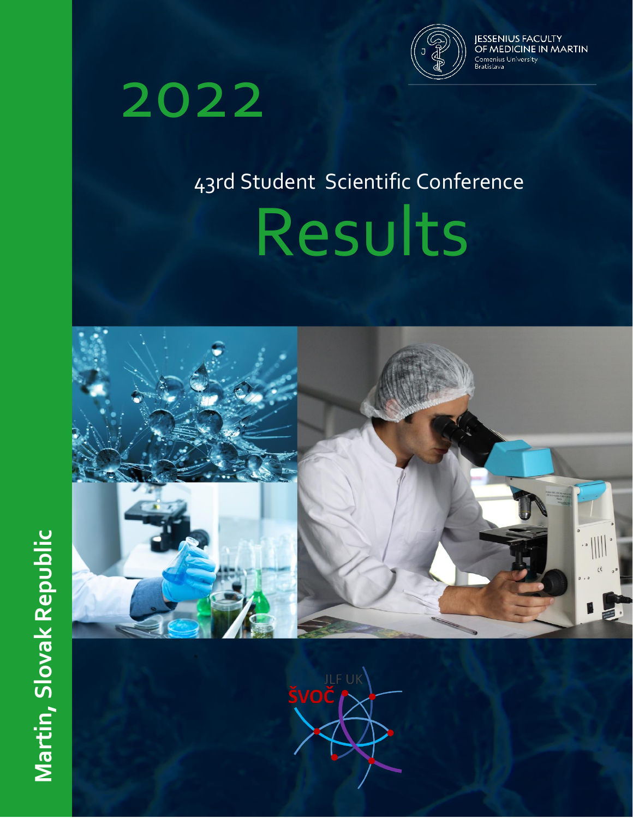

**JESSENIUS FACULTY<br>OF MEDICINE IN MARTIN** Comenius University<br>Bratislava

# 2022

# 43rd Student Scientific Conference

Results



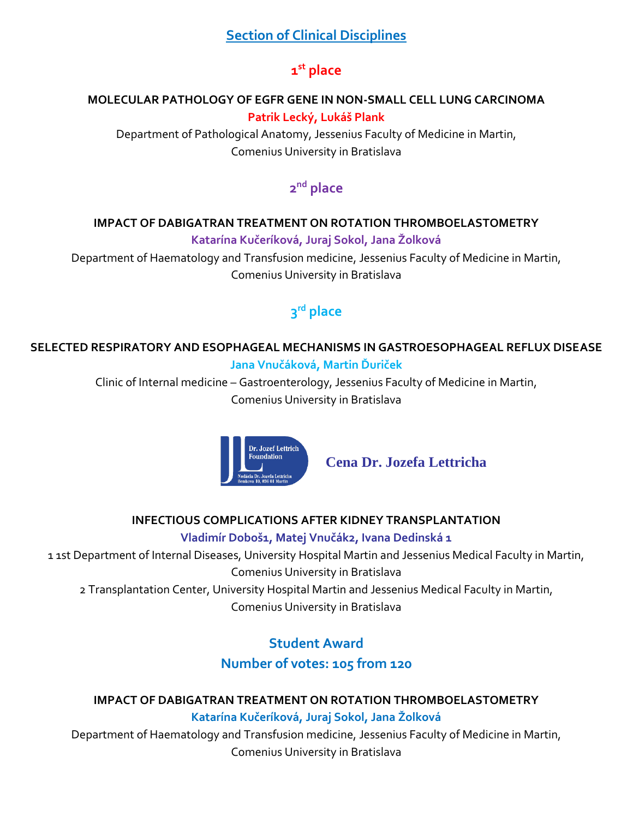## **Section of Clinical Disciplines**

# **1 st place**

#### **MOLECULAR PATHOLOGY OF EGFR GENE IN NON-SMALL CELL LUNG CARCINOMA Patrik Lecký, Lukáš Plank**

Department of Pathological Anatomy, Jessenius Faculty of Medicine in Martin, Comenius University in Bratislava

# **2 nd place**

#### **IMPACT OF DABIGATRAN TREATMENT ON ROTATION THROMBOELASTOMETRY**

**Katarína Kučeríková, Juraj Sokol, Jana Žolková**

Department of Haematology and Transfusion medicine, Jessenius Faculty of Medicine in Martin, Comenius University in Bratislava

# **3 rd place**

#### **SELECTED RESPIRATORY AND ESOPHAGEAL MECHANISMS IN GASTROESOPHAGEAL REFLUX DISEASE Jana Vnučáková, Martin Ďuriček**

Clinic of Internal medicine – Gastroenterology, Jessenius Faculty of Medicine in Martin, Comenius University in Bratislava



**Cena Dr. Jozefa Lettricha**

#### **INFECTIOUS COMPLICATIONS AFTER KIDNEY TRANSPLANTATION**

#### **Vladimír Doboš1, Matej Vnučák2, Ivana Dedinská 1**

1 1st Department of Internal Diseases, University Hospital Martin and Jessenius Medical Faculty in Martin, Comenius University in Bratislava

2 Transplantation Center, University Hospital Martin and Jessenius Medical Faculty in Martin, Comenius University in Bratislava

# **Student Award Number of votes: 105 from 120**

#### **IMPACT OF DABIGATRAN TREATMENT ON ROTATION THROMBOELASTOMETRY Katarína Kučeríková, Juraj Sokol, Jana Žolková**

Department of Haematology and Transfusion medicine, Jessenius Faculty of Medicine in Martin, Comenius University in Bratislava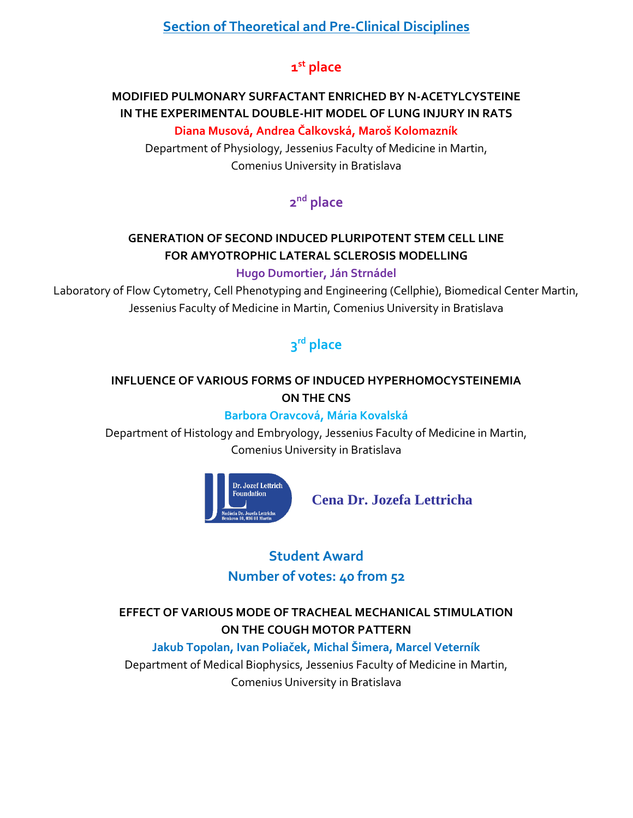## **Section of Theoretical and Pre-Clinical Disciplines**

# **1 st place**

## **MODIFIED PULMONARY SURFACTANT ENRICHED BY N-ACETYLCYSTEINE IN THE EXPERIMENTAL DOUBLE-HIT MODEL OF LUNG INJURY IN RATS**

#### **Diana Musová, Andrea Čalkovská, Maroš Kolomazník**

Department of Physiology, Jessenius Faculty of Medicine in Martin, Comenius University in Bratislava

# **2 nd place**

# **GENERATION OF SECOND INDUCED PLURIPOTENT STEM CELL LINE FOR AMYOTROPHIC LATERAL SCLEROSIS MODELLING**

#### **Hugo Dumortier, Ján Strnádel**

Laboratory of Flow Cytometry, Cell Phenotyping and Engineering (Cellphie), Biomedical Center Martin, Jessenius Faculty of Medicine in Martin, Comenius University in Bratislava

# **3 rd place**

#### **INFLUENCE OF VARIOUS FORMS OF INDUCED HYPERHOMOCYSTEINEMIA ON THE CNS**

#### **Barbora Oravcová, Mária Kovalská**

Department of Histology and Embryology, Jessenius Faculty of Medicine in Martin, Comenius University in Bratislava



**Cena Dr. Jozefa Lettricha**

# **Student Award Number of votes: 40 from 52**

#### **EFFECT OF VARIOUS MODE OF TRACHEAL MECHANICAL STIMULATION ON THE COUGH MOTOR PATTERN**

#### **Jakub Topolan, Ivan Poliaček, Michal Šimera, Marcel Veterník**

Department of Medical Biophysics, Jessenius Faculty of Medicine in Martin, Comenius University in Bratislava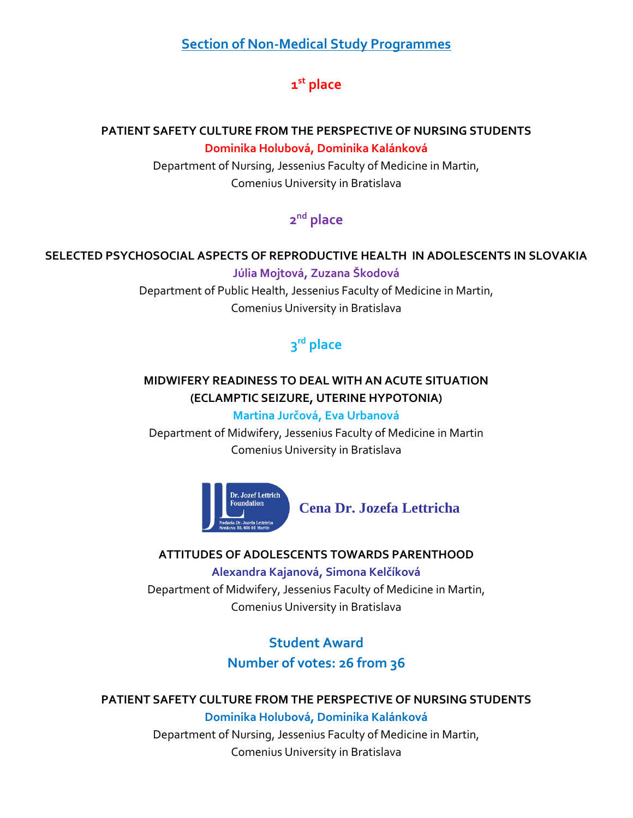#### **Section of Non-Medical Study Programmes**

# **1 st place**

#### **PATIENT SAFETY CULTURE FROM THE PERSPECTIVE OF NURSING STUDENTS Dominika Holubová, Dominika Kalánková**

Department of Nursing, Jessenius Faculty of Medicine in Martin, Comenius University in Bratislava

## **2 nd place**

#### **SELECTED PSYCHOSOCIAL ASPECTS OF REPRODUCTIVE HEALTH IN ADOLESCENTS IN SLOVAKIA Júlia Mojtová, Zuzana Škodová**

Department of Public Health, Jessenius Faculty of Medicine in Martin, Comenius University in Bratislava

# **3 rd place**

#### **MIDWIFERY READINESS TO DEAL WITH AN ACUTE SITUATION (ECLAMPTIC SEIZURE, UTERINE HYPOTONIA)**

#### **Martina Jurčová, Eva Urbanová**

Department of Midwifery, Jessenius Faculty of Medicine in Martin Comenius University in Bratislava



**Cena Dr. Jozefa Lettricha**

#### **ATTITUDES OF ADOLESCENTS TOWARDS PARENTHOOD**

**Alexandra Kajanová, Simona Kelčíková** Department of Midwifery, Jessenius Faculty of Medicine in Martin, Comenius University in Bratislava

# **Student Award Number of votes: 26 from 36**

#### **PATIENT SAFETY CULTURE FROM THE PERSPECTIVE OF NURSING STUDENTS**

**Dominika Holubová, Dominika Kalánková** Department of Nursing, Jessenius Faculty of Medicine in Martin, Comenius University in Bratislava